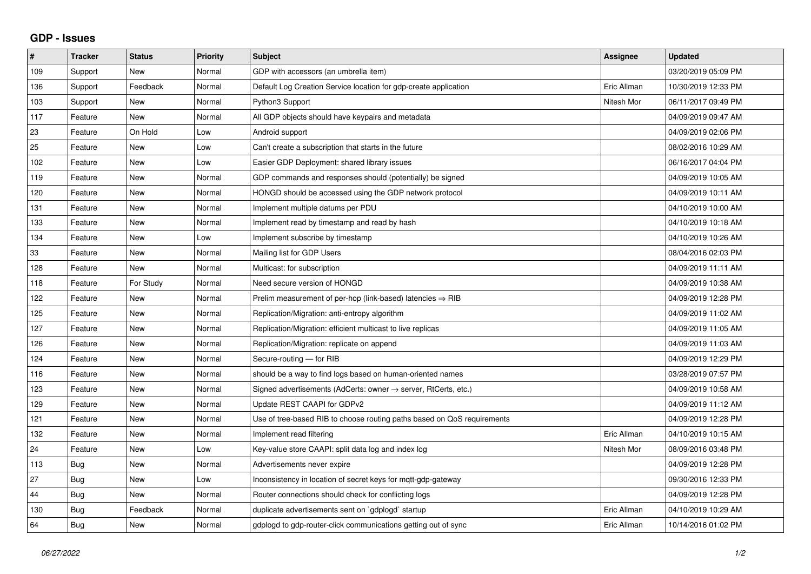## **GDP - Issues**

| $\#$ | <b>Tracker</b> | <b>Status</b> | <b>Priority</b> | <b>Subject</b>                                                             | Assignee    | <b>Updated</b>      |
|------|----------------|---------------|-----------------|----------------------------------------------------------------------------|-------------|---------------------|
| 109  | Support        | New           | Normal          | GDP with accessors (an umbrella item)                                      |             | 03/20/2019 05:09 PM |
| 136  | Support        | Feedback      | Normal          | Default Log Creation Service location for gdp-create application           | Eric Allman | 10/30/2019 12:33 PM |
| 103  | Support        | <b>New</b>    | Normal          | Python3 Support                                                            | Nitesh Mor  | 06/11/2017 09:49 PM |
| 117  | Feature        | <b>New</b>    | Normal          | All GDP objects should have keypairs and metadata                          |             | 04/09/2019 09:47 AM |
| 23   | Feature        | On Hold       | Low             | Android support                                                            |             | 04/09/2019 02:06 PM |
| 25   | Feature        | <b>New</b>    | Low             | Can't create a subscription that starts in the future                      |             | 08/02/2016 10:29 AM |
| 102  | Feature        | <b>New</b>    | Low             | Easier GDP Deployment: shared library issues                               |             | 06/16/2017 04:04 PM |
| 119  | Feature        | New           | Normal          | GDP commands and responses should (potentially) be signed                  |             | 04/09/2019 10:05 AM |
| 120  | Feature        | <b>New</b>    | Normal          | HONGD should be accessed using the GDP network protocol                    |             | 04/09/2019 10:11 AM |
| 131  | Feature        | <b>New</b>    | Normal          | Implement multiple datums per PDU                                          |             | 04/10/2019 10:00 AM |
| 133  | Feature        | <b>New</b>    | Normal          | Implement read by timestamp and read by hash                               |             | 04/10/2019 10:18 AM |
| 134  | Feature        | <b>New</b>    | Low             | Implement subscribe by timestamp                                           |             | 04/10/2019 10:26 AM |
| 33   | Feature        | <b>New</b>    | Normal          | Mailing list for GDP Users                                                 |             | 08/04/2016 02:03 PM |
| 128  | Feature        | <b>New</b>    | Normal          | Multicast: for subscription                                                |             | 04/09/2019 11:11 AM |
| 118  | Feature        | For Study     | Normal          | Need secure version of HONGD                                               |             | 04/09/2019 10:38 AM |
| 122  | Feature        | <b>New</b>    | Normal          | Prelim measurement of per-hop (link-based) latencies $\Rightarrow$ RIB     |             | 04/09/2019 12:28 PM |
| 125  | Feature        | <b>New</b>    | Normal          | Replication/Migration: anti-entropy algorithm                              |             | 04/09/2019 11:02 AM |
| 127  | Feature        | <b>New</b>    | Normal          | Replication/Migration: efficient multicast to live replicas                |             | 04/09/2019 11:05 AM |
| 126  | Feature        | <b>New</b>    | Normal          | Replication/Migration: replicate on append                                 |             | 04/09/2019 11:03 AM |
| 124  | Feature        | <b>New</b>    | Normal          | Secure-routing - for RIB                                                   |             | 04/09/2019 12:29 PM |
| 116  | Feature        | <b>New</b>    | Normal          | should be a way to find logs based on human-oriented names                 |             | 03/28/2019 07:57 PM |
| 123  | Feature        | <b>New</b>    | Normal          | Signed advertisements (AdCerts: owner $\rightarrow$ server, RtCerts, etc.) |             | 04/09/2019 10:58 AM |
| 129  | Feature        | <b>New</b>    | Normal          | Update REST CAAPI for GDPv2                                                |             | 04/09/2019 11:12 AM |
| 121  | Feature        | New           | Normal          | Use of tree-based RIB to choose routing paths based on QoS requirements    |             | 04/09/2019 12:28 PM |
| 132  | Feature        | <b>New</b>    | Normal          | Implement read filtering                                                   | Eric Allman | 04/10/2019 10:15 AM |
| 24   | Feature        | <b>New</b>    | Low             | Key-value store CAAPI: split data log and index log                        | Nitesh Mor  | 08/09/2016 03:48 PM |
| 113  | Bug            | <b>New</b>    | Normal          | Advertisements never expire                                                |             | 04/09/2019 12:28 PM |
| 27   | Bug            | <b>New</b>    | Low             | Inconsistency in location of secret keys for mgtt-gdp-gateway              |             | 09/30/2016 12:33 PM |
| 44   | Bug            | New           | Normal          | Router connections should check for conflicting logs                       |             | 04/09/2019 12:28 PM |
| 130  | Bug            | Feedback      | Normal          | duplicate advertisements sent on `gdplogd` startup                         | Eric Allman | 04/10/2019 10:29 AM |
| 64   | <b>Bug</b>     | <b>New</b>    | Normal          | gdplogd to gdp-router-click communications getting out of sync             | Eric Allman | 10/14/2016 01:02 PM |